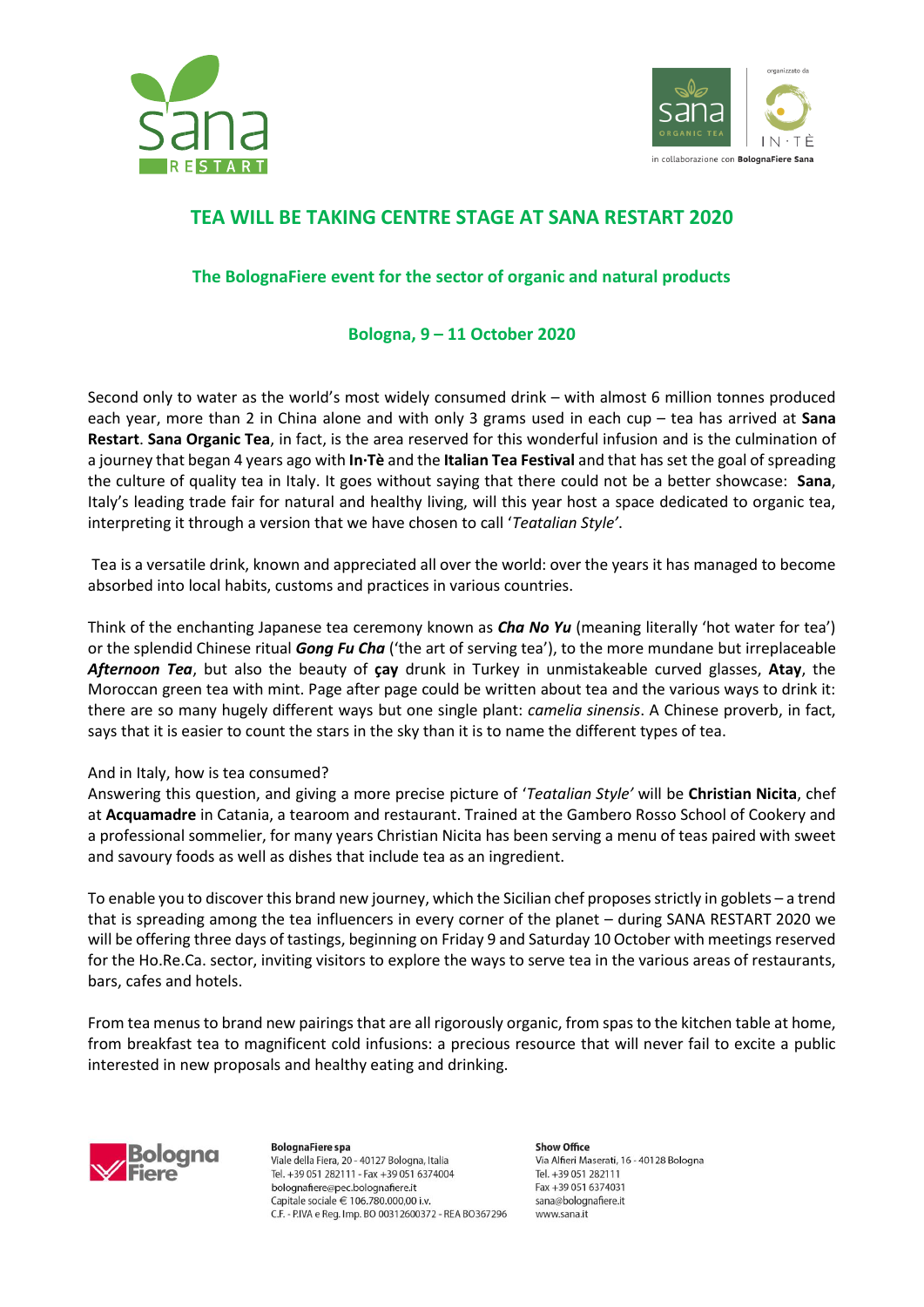



## **TEA WILL BE TAKING CENTRE STAGE AT SANA RESTART 2020**

## **The BolognaFiere event for the sector of organic and natural products**

## **Bologna, 9 – 11 October 2020**

Second only to water as the world's most widely consumed drink – with almost 6 million tonnes produced each year, more than 2 in China alone and with only 3 grams used in each cup – tea has arrived at **Sana Restart**. **Sana Organic Tea**, in fact, is the area reserved for this wonderful infusion and is the culmination of a journey that began 4 years ago with **In·Tè** and the **Italian Tea Festival** and that has set the goal of spreading the culture of quality tea in Italy. It goes without saying that there could not be a better showcase: **Sana**, Italy's leading trade fair for natural and healthy living, will this year host a space dedicated to organic tea, interpreting it through a version that we have chosen to call '*Teatalian Style'*.

Tea is a versatile drink, known and appreciated all over the world: over the years it has managed to become absorbed into local habits, customs and practices in various countries.

Think of the enchanting Japanese tea ceremony known as *Cha No Yu* (meaning literally 'hot water for tea') or the splendid Chinese ritual *Gong Fu Cha* ('the art of serving tea'), to the more mundane but irreplaceable *Afternoon Tea*, but also the beauty of **çay** drunk in Turkey in unmistakeable curved glasses, **Atay**, the Moroccan green tea with mint. Page after page could be written about tea and the various ways to drink it: there are so many hugely different ways but one single plant: *camelia sinensis*. A Chinese proverb, in fact, says that it is easier to count the stars in the sky than it is to name the different types of tea.

## And in Italy, how is tea consumed?

Answering this question, and giving a more precise picture of '*Teatalian Style'* will be **Christian Nicita**, chef at **Acquamadre** in Catania, a tearoom and restaurant. Trained at the Gambero Rosso School of Cookery and a professional sommelier, for many years Christian Nicita has been serving a menu of teas paired with sweet and savoury foods as well as dishes that include tea as an ingredient.

To enable you to discover this brand new journey, which the Sicilian chef proposes strictly in goblets – a trend that is spreading among the tea influencers in every corner of the planet – during SANA RESTART 2020 we will be offering three days of tastings, beginning on Friday 9 and Saturday 10 October with meetings reserved for the Ho.Re.Ca. sector, inviting visitors to explore the ways to serve tea in the various areas of restaurants, bars, cafes and hotels.

From tea menus to brand new pairings that are all rigorously organic, from spas to the kitchen table at home, from breakfast tea to magnificent cold infusions: a precious resource that will never fail to excite a public interested in new proposals and healthy eating and drinking.



**BolognaFiere** spa Viale della Fiera. 20 - 40127 Bologna, Italia Tel. +39 051 282111 - Fax +39 051 6374004 bolognafiere@pec.bolognafiere.it Capitale sociale € 106.780.000,00 i.v. C.F. - P.IVA e Reg. Imp. BO 00312600372 - REA BO367296 **Show Office** Via Alfieri Maserati, 16 - 40128 Bologna Tel +39.051.282111 Fax +39 051 6374031 sana@bolognafiere.it www.sana.it